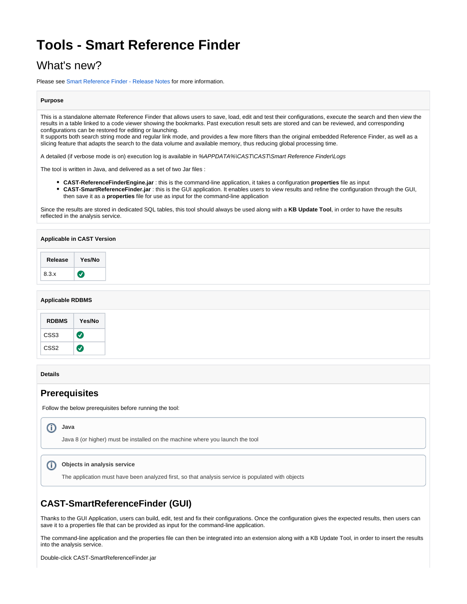# **Tools - Smart Reference Finder**

# What's new?

Please see [Smart Reference Finder - Release Notes](https://doc.castsoftware.com/display/TKBQG/Tools+-+Smart+Reference+Finder+-+Release+Notes) for more information.

#### **Purpose**

This is a standalone alternate Reference Finder that allows users to save, load, edit and test their configurations, execute the search and then view the results in a table linked to a code viewer showing the bookmarks. Past execution result sets are stored and can be reviewed, and corresponding configurations can be restored for editing or launching.

It supports both search string mode and regular link mode, and provides a few more filters than the original embedded Reference Finder, as well as a slicing feature that adapts the search to the data volume and available memory, thus reducing global processing time.

A detailed (if verbose mode is on) execution log is available in %APPDATA%\CAST\CAST\Smart Reference Finder\Logs

The tool is written in Java, and delivered as a set of two Jar files :

- **CAST-ReferenceFinderEngine.jar** : this is the command-line application, it takes a configuration **properties** file as input
- **CAST-SmartReferenceFinder.jar** : this is the GUI application. It enables users to view results and refine the configuration through the GUI, then save it as a **properties** file for use as input for the command-line application

Since the results are stored in dedicated SQL tables, this tool should always be used along with a **KB Update Tool**, in order to have the results reflected in the analysis service.

## **Applicable in CAST Version**

#### **Applicable RDBMS**

| <b>RDBMS</b>     | Yes/No |
|------------------|--------|
| CSS3             | ✓      |
| CSS <sub>2</sub> |        |

#### **Details**

# **Prerequisites**

Follow the below prerequisites before running the tool:

# **Java**

Java 8 (or higher) must be installed on the machine where you launch the tool

#### $\odot$ **Objects in analysis service**

The application must have been analyzed first, so that analysis service is populated with objects

# **CAST-SmartReferenceFinder (GUI)**

Thanks to the GUI Application, users can build, edit, test and fix their configurations. Once the configuration gives the expected results, then users can save it to a properties file that can be provided as input for the command-line application.

The command-line application and the properties file can then be integrated into an extension along with a KB Update Tool, in order to insert the results into the analysis service.

Double-click CAST-SmartReferenceFinder.jar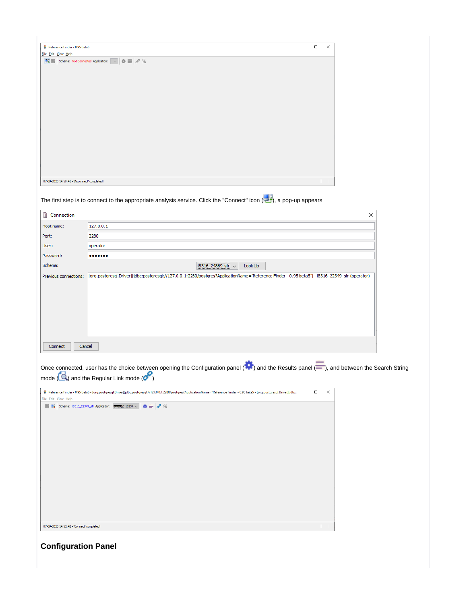| Reference Finder - 0.95 beta5                                                                                                                        | - | $\Box$ | $\times$ |
|------------------------------------------------------------------------------------------------------------------------------------------------------|---|--------|----------|
| Eile Edit View Help                                                                                                                                  |   |        |          |
| $\boxed{\mathbb{R} \times \mathbb{R}}$ Schema: Not Connected Application: $\boxed{\smile}$ $\mathbb{R} \times \mathbb{R}$ $\sigma$ $\textcircled{a}$ |   |        |          |
|                                                                                                                                                      |   |        |          |
|                                                                                                                                                      |   |        |          |
|                                                                                                                                                      |   |        |          |
|                                                                                                                                                      |   |        |          |
|                                                                                                                                                      |   |        |          |
|                                                                                                                                                      |   |        |          |
|                                                                                                                                                      |   |        |          |
|                                                                                                                                                      |   |        |          |
|                                                                                                                                                      |   |        |          |
|                                                                                                                                                      |   |        |          |
|                                                                                                                                                      |   |        |          |
|                                                                                                                                                      |   |        |          |
| 07-09-2020 14:50:41 - 'Disconnect' completed!                                                                                                        |   |        |          |
| $-111$                                                                                                                                               |   |        |          |

The first step is to connect to the appropriate analysis service. Click the "Connect" icon ( $\frac{1}{\sqrt{2}}$ ), a pop-up appears

| 127.0.0.1<br>Host name:<br>2280<br>Port:<br>operator<br>User:<br>Password:<br><br>18316_24869_sfr ↓<br>Schema:<br>Look Up<br>[org.postgresql.Driver][jdbc:postgresql://127.0.0.1:2280/postgres?ApplicationName="Reference Finder - 0.95 beta5"] -18316_22349_sfr (operator)<br>Previous connections:<br>Cancel<br>Connect<br>Once connected, user has the choice between opening the Configuration panel (200) and the Results panel (-), and between the Search String<br>mode $(\alpha)$ and the Regular Link mode $(\alpha)$<br>第 Reference Finder - 0.95 beta5 - [org.postgresql.Driver][jdbc:postgresql://127.0.0.1:2280/postgres?ApplicationName="Reference Finder - 0.95 beta5 - [org.postgresql.Driver][jdb<br>$\Box$<br>$\times$<br>File Edit View Help<br>$\boxed{34}$ $\frac{10}{28}$ Schema: 18316_22349_sfr Application: $\boxed{6600}$ C 18257 $\vee$ $\boxed{4} \equiv \boxed{6}$ ( | Connection | × |
|----------------------------------------------------------------------------------------------------------------------------------------------------------------------------------------------------------------------------------------------------------------------------------------------------------------------------------------------------------------------------------------------------------------------------------------------------------------------------------------------------------------------------------------------------------------------------------------------------------------------------------------------------------------------------------------------------------------------------------------------------------------------------------------------------------------------------------------------------------------------------------------------------|------------|---|
|                                                                                                                                                                                                                                                                                                                                                                                                                                                                                                                                                                                                                                                                                                                                                                                                                                                                                                    |            |   |
|                                                                                                                                                                                                                                                                                                                                                                                                                                                                                                                                                                                                                                                                                                                                                                                                                                                                                                    |            |   |
|                                                                                                                                                                                                                                                                                                                                                                                                                                                                                                                                                                                                                                                                                                                                                                                                                                                                                                    |            |   |
|                                                                                                                                                                                                                                                                                                                                                                                                                                                                                                                                                                                                                                                                                                                                                                                                                                                                                                    |            |   |
|                                                                                                                                                                                                                                                                                                                                                                                                                                                                                                                                                                                                                                                                                                                                                                                                                                                                                                    |            |   |
|                                                                                                                                                                                                                                                                                                                                                                                                                                                                                                                                                                                                                                                                                                                                                                                                                                                                                                    |            |   |

**Configuration Panel**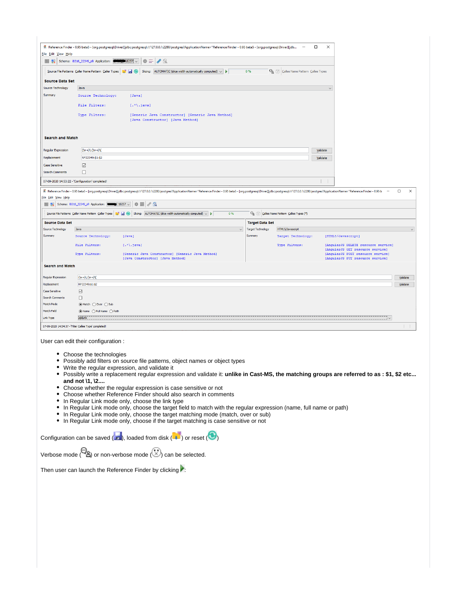|                           |                                                       | Reference Finder - 0.95 beta5 - [org.postgresql.Driver][jdbc:postgresql://127.0.0.1:2280/postgres?ApplicationName="Reference Finder - 0.95 beta5 - [org.postgresql.Driver][jdb –                                                                                                                                                                                                                                                                 |                          |                                             | $\times$<br>$\Box$ |                                                                         |              |                    |
|---------------------------|-------------------------------------------------------|--------------------------------------------------------------------------------------------------------------------------------------------------------------------------------------------------------------------------------------------------------------------------------------------------------------------------------------------------------------------------------------------------------------------------------------------------|--------------------------|---------------------------------------------|--------------------|-------------------------------------------------------------------------|--------------|--------------------|
| File Edit View Help       |                                                       |                                                                                                                                                                                                                                                                                                                                                                                                                                                  |                          |                                             |                    |                                                                         |              |                    |
| ■ 製】                      | Schema: 18316_22349_sfr Application: 477718257 \      | $\mathscr{E}$ Q<br>⊕ ⊕                                                                                                                                                                                                                                                                                                                                                                                                                           |                          |                                             |                    |                                                                         |              |                    |
|                           |                                                       | Slicing: AUTOMATIC (slice width automatically computed) $\sim$                                                                                                                                                                                                                                                                                                                                                                                   | 0%                       | Callee Name Pattern Callee Types            |                    |                                                                         |              |                    |
| <b>Source Data Set</b>    |                                                       |                                                                                                                                                                                                                                                                                                                                                                                                                                                  |                          |                                             |                    |                                                                         |              |                    |
| Source Technology         | Java                                                  |                                                                                                                                                                                                                                                                                                                                                                                                                                                  |                          |                                             | $\checkmark$       |                                                                         |              |                    |
| Summary                   | Source Technology:                                    | [Java]                                                                                                                                                                                                                                                                                                                                                                                                                                           |                          |                                             |                    |                                                                         |              |                    |
|                           | File Filters:                                         | $[.*().java]$                                                                                                                                                                                                                                                                                                                                                                                                                                    |                          |                                             |                    |                                                                         |              |                    |
|                           | Type Filters:                                         | [Generic Java Constructor] [Generic Java Method]<br>[Java Constructor] [Java Method]                                                                                                                                                                                                                                                                                                                                                             |                          |                                             |                    |                                                                         |              |                    |
| <b>Search and Match</b>   |                                                       |                                                                                                                                                                                                                                                                                                                                                                                                                                                  |                          |                                             |                    |                                                                         |              |                    |
| <b>Regular Expression</b> | $(\w+)(\w+)($                                         |                                                                                                                                                                                                                                                                                                                                                                                                                                                  |                          |                                             | Validate           |                                                                         |              |                    |
| Replacement               | RP22349:\$1:\$2                                       |                                                                                                                                                                                                                                                                                                                                                                                                                                                  |                          |                                             | Validate           |                                                                         |              |                    |
| <b>Case Sensitive</b>     | ☑                                                     |                                                                                                                                                                                                                                                                                                                                                                                                                                                  |                          |                                             |                    |                                                                         |              |                    |
| <b>Search Comments</b>    | □                                                     |                                                                                                                                                                                                                                                                                                                                                                                                                                                  |                          |                                             |                    |                                                                         |              |                    |
|                           | 07-09-2020 14:53:22 - 'Configuration' completed!      |                                                                                                                                                                                                                                                                                                                                                                                                                                                  |                          |                                             |                    |                                                                         |              |                    |
| File Edit View Help       |                                                       | 5 Reference Finder - 0.95 beta5 - [org.postgresql.Driver][jdbc:postgresql://127.0.0.1:2280/postgres?ApplicationName="Reference Finder - 0.95 beta5 - [org.postgresql.Driver][jdbc:postgresql://127.0.0.1:2280/postgresql://12                                                                                                                                                                                                                    |                          |                                             |                    |                                                                         |              | $\Box$<br>$\times$ |
|                           | Schema: 18316_22349_sfr Application: 200257 \         |                                                                                                                                                                                                                                                                                                                                                                                                                                                  |                          |                                             |                    |                                                                         |              |                    |
|                           | Source File Patterns Caller Name Pattern Caller Types | $\begin{array}{ c c c c c }\hline \begin{array}{ c c c c }\hline \begin{array}{ c c c }\hline \begin{array}{ c c c }\hline \begin{array}{ c c c }\hline \begin{array}{ c c c }\hline \begin{array}{ c c c }\hline \begin{array}{ c c c }\hline \begin{array}{ c c c }\hline \begin{array}{ c c c }\hline \begin{array}{ c c c }\hline \begin{array}{ c c c }\hline \begin{array}{ c c c }\hline \begin{array}{ c c c }\hline \begin{array$<br>0% |                          | Ca (V) Callee Name Pattern Callee Types (*) |                    |                                                                         |              |                    |
| <b>Source Data Set</b>    |                                                       |                                                                                                                                                                                                                                                                                                                                                                                                                                                  | <b>Target Data Set</b>   |                                             |                    |                                                                         |              |                    |
| <b>Source Technology</b>  | Java                                                  | $\checkmark$                                                                                                                                                                                                                                                                                                                                                                                                                                     | <b>Target Technology</b> | HTML5/Javascript                            |                    |                                                                         |              | $\checkmark$       |
| <b>Summary</b>            | Source Technology:                                    | [Java]                                                                                                                                                                                                                                                                                                                                                                                                                                           | Summary                  | Target Technology:                          |                    | [HTML5/Javascript]                                                      |              |                    |
|                           | File Filters:                                         | $[.*/.java]$                                                                                                                                                                                                                                                                                                                                                                                                                                     |                          | Type Filters:                               |                    | [AngularJS DELETE resource service]<br>[AngularJS GET resource service] |              |                    |
|                           | Type Filters:                                         | [Generic Java Constructor] [Generic Java Method]<br>[Java Constructor] [Java Method]                                                                                                                                                                                                                                                                                                                                                             |                          |                                             |                    | [AngularJS POST resource service]<br>[AngularJS PUT resource service]   |              |                    |
| <b>Search and Match</b>   |                                                       |                                                                                                                                                                                                                                                                                                                                                                                                                                                  |                          |                                             |                    |                                                                         |              |                    |
| Regular Expression        | $(W+)(W+)(W)$                                         |                                                                                                                                                                                                                                                                                                                                                                                                                                                  |                          |                                             |                    |                                                                         |              | Validate           |
| Replacement               | RP22349:\$1:\$2                                       |                                                                                                                                                                                                                                                                                                                                                                                                                                                  |                          |                                             |                    |                                                                         |              | Validate           |
| <b>Case Sensitive</b>     | ☑                                                     |                                                                                                                                                                                                                                                                                                                                                                                                                                                  |                          |                                             |                    |                                                                         |              |                    |
| Search Comments           | $\Box$                                                |                                                                                                                                                                                                                                                                                                                                                                                                                                                  |                          |                                             |                    |                                                                         |              |                    |
| Match Mode                | ◉ Match (O Over (O Sub                                |                                                                                                                                                                                                                                                                                                                                                                                                                                                  |                          |                                             |                    |                                                                         |              |                    |
| Match Field               |                                                       |                                                                                                                                                                                                                                                                                                                                                                                                                                                  |                          |                                             |                    |                                                                         |              |                    |
| Link Type                 | calLink                                               |                                                                                                                                                                                                                                                                                                                                                                                                                                                  |                          |                                             |                    |                                                                         | $\checkmark$ |                    |
|                           | 07-09-2020 14:54:37 - 'Filter Callee Type' completed! |                                                                                                                                                                                                                                                                                                                                                                                                                                                  |                          |                                             |                    |                                                                         |              |                    |

User can edit their configuration :

 $\sim$ 

- Choose the technologies
- Possibly add filters on source file patterns, object names or object types
- Write the regular expression, and validate it
- Possibly write a replacement regular expression and validate it: **unlike in Cast-MS, the matching groups are referred to as : \$1, \$2 etc... and not \1, \2....**
- Choose whether the regular expression is case sensitive or not
- Choose whether Reference Finder should also search in comments
- In Regular Link mode only, choose the link type
- In Regular Link mode only, choose the target field to match with the regular expression (name, full name or path)
- In Regular Link mode only, choose the target matching mode (match, over or sub)
- In Regular Link mode only, choose if the target matching is case sensitive or not

Configuration can be saved  $(\blacksquare)$ , loaded from disk  $(\blacksquare)$  or reset  $(\bigodot)$ 

| Verbose mode ( $\overset{\text{(1)}}{\approx}$ ) or non-verbose mode ( $\overset{\text{(2)}}{\approx}$ ) can be selected. |  |
|---------------------------------------------------------------------------------------------------------------------------|--|
|                                                                                                                           |  |

Then user can launch the Reference Finder by clicking  $\blacktriangleright$ :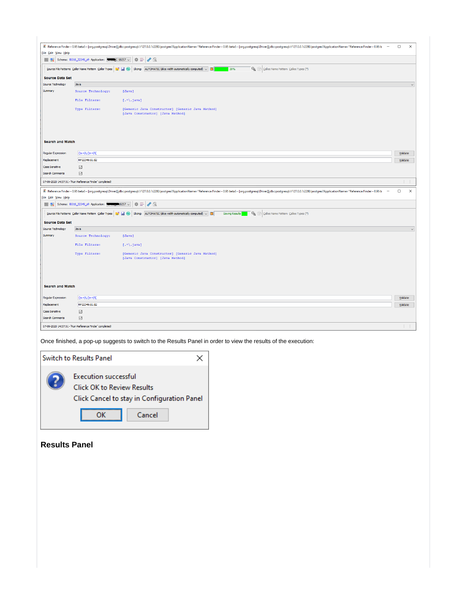| 5 Reference Finder - 0.95 beta5 - [org.postgresql.Driver][jdbc:postgresql://127.0.0.1:2280/postgres?ApplicationName="Reference Finder - 0.95 beta5 - [org.postgresql./jiver][jdbc:postgresql://127.0.0.1:2280/postgresql://12<br>$\Box$<br>$\times$<br>File Edit View Help<br>$\hat{\mathbf{w}} \equiv \mathbf{v} \in$<br>$\frac{1}{2}$ Schema: 18316_22349_sfr Application: $\frac{1}{2}$ C 18257 $\sim$<br>Source File Patterns Caller Name Pattern Caller Types $\ \cdot\ $ or Slicing: AUTOMATIC (sice width automatically computed) $\vee$ $\blacksquare$<br>Callee Name Pattern Callee Types (*)<br>39%<br><b>Source Data Set</b><br>Source Technology<br>Java<br>$\checkmark$<br>Summary<br>Source Technology:<br>[Java]<br>File Filters:<br>$[.*(.java)]$<br>Type Filters:<br>[Generic Java Constructor] [Generic Java Method]<br>[Java Constructor] [Java Method]<br><b>Search and Match</b><br>$($ w+)\.(\w+)\(<br>Regular Expression<br>Validate<br>RP22349:\$1:\$2<br>Replacement<br>Validate<br><b>Case Sensitive</b><br>☑<br>$\boxdot$<br>Search Comments<br>07-09-2020 14:57:51 - 'Run Reference Finder' completed!<br>$\times$<br>(17.0-19) Reference Finder - 0.95 beta5 - [org.postgresql.Driver][jdbc:postgresql.//127.0.0.1:2280/postgres?ApplicationName="Reference Finder - 0.95 beta5 - [org.postgresql./livergl]jdbc:postgresql.//127.0.0.1:2280/postg<br>$\Box$<br>$\overline{\phantom{a}}$<br>File Edit View Help<br>$\bullet = \bullet \circ$<br><b>1999</b> Schema: 18316_22349_sfr Application: <b>1999</b> 28257 \<br>Source File Patterns Caller Name Pattern Caller Types $\begin{array}{ c c c }\hline \bullet & \bullet & \bullet\end{array}$ Slicing: AUTOMATIC (slice width automatically computed) $\sim$ $\begin{array}{ c c }\hline \bullet & \bullet\end{array}$<br>Callee Name Pattern Callee Types (*)<br>Saving Results<br><b>Source Data Set</b> |
|----------------------------------------------------------------------------------------------------------------------------------------------------------------------------------------------------------------------------------------------------------------------------------------------------------------------------------------------------------------------------------------------------------------------------------------------------------------------------------------------------------------------------------------------------------------------------------------------------------------------------------------------------------------------------------------------------------------------------------------------------------------------------------------------------------------------------------------------------------------------------------------------------------------------------------------------------------------------------------------------------------------------------------------------------------------------------------------------------------------------------------------------------------------------------------------------------------------------------------------------------------------------------------------------------------------------------------------------------------------------------------------------------------------------------------------------------------------------------------------------------------------------------------------------------------------------------------------------------------------------------------------------------------------------------------------------------------------------------------------------------------------------------------------------------------------------------------------------------------------------------------------------|
|                                                                                                                                                                                                                                                                                                                                                                                                                                                                                                                                                                                                                                                                                                                                                                                                                                                                                                                                                                                                                                                                                                                                                                                                                                                                                                                                                                                                                                                                                                                                                                                                                                                                                                                                                                                                                                                                                              |
|                                                                                                                                                                                                                                                                                                                                                                                                                                                                                                                                                                                                                                                                                                                                                                                                                                                                                                                                                                                                                                                                                                                                                                                                                                                                                                                                                                                                                                                                                                                                                                                                                                                                                                                                                                                                                                                                                              |
|                                                                                                                                                                                                                                                                                                                                                                                                                                                                                                                                                                                                                                                                                                                                                                                                                                                                                                                                                                                                                                                                                                                                                                                                                                                                                                                                                                                                                                                                                                                                                                                                                                                                                                                                                                                                                                                                                              |
|                                                                                                                                                                                                                                                                                                                                                                                                                                                                                                                                                                                                                                                                                                                                                                                                                                                                                                                                                                                                                                                                                                                                                                                                                                                                                                                                                                                                                                                                                                                                                                                                                                                                                                                                                                                                                                                                                              |
|                                                                                                                                                                                                                                                                                                                                                                                                                                                                                                                                                                                                                                                                                                                                                                                                                                                                                                                                                                                                                                                                                                                                                                                                                                                                                                                                                                                                                                                                                                                                                                                                                                                                                                                                                                                                                                                                                              |
|                                                                                                                                                                                                                                                                                                                                                                                                                                                                                                                                                                                                                                                                                                                                                                                                                                                                                                                                                                                                                                                                                                                                                                                                                                                                                                                                                                                                                                                                                                                                                                                                                                                                                                                                                                                                                                                                                              |
|                                                                                                                                                                                                                                                                                                                                                                                                                                                                                                                                                                                                                                                                                                                                                                                                                                                                                                                                                                                                                                                                                                                                                                                                                                                                                                                                                                                                                                                                                                                                                                                                                                                                                                                                                                                                                                                                                              |
|                                                                                                                                                                                                                                                                                                                                                                                                                                                                                                                                                                                                                                                                                                                                                                                                                                                                                                                                                                                                                                                                                                                                                                                                                                                                                                                                                                                                                                                                                                                                                                                                                                                                                                                                                                                                                                                                                              |
|                                                                                                                                                                                                                                                                                                                                                                                                                                                                                                                                                                                                                                                                                                                                                                                                                                                                                                                                                                                                                                                                                                                                                                                                                                                                                                                                                                                                                                                                                                                                                                                                                                                                                                                                                                                                                                                                                              |
|                                                                                                                                                                                                                                                                                                                                                                                                                                                                                                                                                                                                                                                                                                                                                                                                                                                                                                                                                                                                                                                                                                                                                                                                                                                                                                                                                                                                                                                                                                                                                                                                                                                                                                                                                                                                                                                                                              |
|                                                                                                                                                                                                                                                                                                                                                                                                                                                                                                                                                                                                                                                                                                                                                                                                                                                                                                                                                                                                                                                                                                                                                                                                                                                                                                                                                                                                                                                                                                                                                                                                                                                                                                                                                                                                                                                                                              |
|                                                                                                                                                                                                                                                                                                                                                                                                                                                                                                                                                                                                                                                                                                                                                                                                                                                                                                                                                                                                                                                                                                                                                                                                                                                                                                                                                                                                                                                                                                                                                                                                                                                                                                                                                                                                                                                                                              |
|                                                                                                                                                                                                                                                                                                                                                                                                                                                                                                                                                                                                                                                                                                                                                                                                                                                                                                                                                                                                                                                                                                                                                                                                                                                                                                                                                                                                                                                                                                                                                                                                                                                                                                                                                                                                                                                                                              |
|                                                                                                                                                                                                                                                                                                                                                                                                                                                                                                                                                                                                                                                                                                                                                                                                                                                                                                                                                                                                                                                                                                                                                                                                                                                                                                                                                                                                                                                                                                                                                                                                                                                                                                                                                                                                                                                                                              |
|                                                                                                                                                                                                                                                                                                                                                                                                                                                                                                                                                                                                                                                                                                                                                                                                                                                                                                                                                                                                                                                                                                                                                                                                                                                                                                                                                                                                                                                                                                                                                                                                                                                                                                                                                                                                                                                                                              |
|                                                                                                                                                                                                                                                                                                                                                                                                                                                                                                                                                                                                                                                                                                                                                                                                                                                                                                                                                                                                                                                                                                                                                                                                                                                                                                                                                                                                                                                                                                                                                                                                                                                                                                                                                                                                                                                                                              |
|                                                                                                                                                                                                                                                                                                                                                                                                                                                                                                                                                                                                                                                                                                                                                                                                                                                                                                                                                                                                                                                                                                                                                                                                                                                                                                                                                                                                                                                                                                                                                                                                                                                                                                                                                                                                                                                                                              |
|                                                                                                                                                                                                                                                                                                                                                                                                                                                                                                                                                                                                                                                                                                                                                                                                                                                                                                                                                                                                                                                                                                                                                                                                                                                                                                                                                                                                                                                                                                                                                                                                                                                                                                                                                                                                                                                                                              |
|                                                                                                                                                                                                                                                                                                                                                                                                                                                                                                                                                                                                                                                                                                                                                                                                                                                                                                                                                                                                                                                                                                                                                                                                                                                                                                                                                                                                                                                                                                                                                                                                                                                                                                                                                                                                                                                                                              |
|                                                                                                                                                                                                                                                                                                                                                                                                                                                                                                                                                                                                                                                                                                                                                                                                                                                                                                                                                                                                                                                                                                                                                                                                                                                                                                                                                                                                                                                                                                                                                                                                                                                                                                                                                                                                                                                                                              |
|                                                                                                                                                                                                                                                                                                                                                                                                                                                                                                                                                                                                                                                                                                                                                                                                                                                                                                                                                                                                                                                                                                                                                                                                                                                                                                                                                                                                                                                                                                                                                                                                                                                                                                                                                                                                                                                                                              |
| Source Technology<br>Java<br>$\checkmark$                                                                                                                                                                                                                                                                                                                                                                                                                                                                                                                                                                                                                                                                                                                                                                                                                                                                                                                                                                                                                                                                                                                                                                                                                                                                                                                                                                                                                                                                                                                                                                                                                                                                                                                                                                                                                                                    |
| Summary<br>Source Technology:<br>[Java]                                                                                                                                                                                                                                                                                                                                                                                                                                                                                                                                                                                                                                                                                                                                                                                                                                                                                                                                                                                                                                                                                                                                                                                                                                                                                                                                                                                                                                                                                                                                                                                                                                                                                                                                                                                                                                                      |
| File Filters:<br>$[.*(.java)]$                                                                                                                                                                                                                                                                                                                                                                                                                                                                                                                                                                                                                                                                                                                                                                                                                                                                                                                                                                                                                                                                                                                                                                                                                                                                                                                                                                                                                                                                                                                                                                                                                                                                                                                                                                                                                                                               |
| Type Filters:<br>[Generic Java Constructor] [Generic Java Method]                                                                                                                                                                                                                                                                                                                                                                                                                                                                                                                                                                                                                                                                                                                                                                                                                                                                                                                                                                                                                                                                                                                                                                                                                                                                                                                                                                                                                                                                                                                                                                                                                                                                                                                                                                                                                            |
| [Java Constructor] [Java Method]                                                                                                                                                                                                                                                                                                                                                                                                                                                                                                                                                                                                                                                                                                                                                                                                                                                                                                                                                                                                                                                                                                                                                                                                                                                                                                                                                                                                                                                                                                                                                                                                                                                                                                                                                                                                                                                             |
|                                                                                                                                                                                                                                                                                                                                                                                                                                                                                                                                                                                                                                                                                                                                                                                                                                                                                                                                                                                                                                                                                                                                                                                                                                                                                                                                                                                                                                                                                                                                                                                                                                                                                                                                                                                                                                                                                              |
| <b>Search and Match</b>                                                                                                                                                                                                                                                                                                                                                                                                                                                                                                                                                                                                                                                                                                                                                                                                                                                                                                                                                                                                                                                                                                                                                                                                                                                                                                                                                                                                                                                                                                                                                                                                                                                                                                                                                                                                                                                                      |
| $($ w+)\.(\w+)\(<br>Regular Expression<br>Validate                                                                                                                                                                                                                                                                                                                                                                                                                                                                                                                                                                                                                                                                                                                                                                                                                                                                                                                                                                                                                                                                                                                                                                                                                                                                                                                                                                                                                                                                                                                                                                                                                                                                                                                                                                                                                                           |
| RP22349:\$1:\$2<br>Replacement<br>Validate                                                                                                                                                                                                                                                                                                                                                                                                                                                                                                                                                                                                                                                                                                                                                                                                                                                                                                                                                                                                                                                                                                                                                                                                                                                                                                                                                                                                                                                                                                                                                                                                                                                                                                                                                                                                                                                   |
| <b>Case Sensitive</b>                                                                                                                                                                                                                                                                                                                                                                                                                                                                                                                                                                                                                                                                                                                                                                                                                                                                                                                                                                                                                                                                                                                                                                                                                                                                                                                                                                                                                                                                                                                                                                                                                                                                                                                                                                                                                                                                        |
| $\boxdot$<br>$\boxdot$<br>Search Comments                                                                                                                                                                                                                                                                                                                                                                                                                                                                                                                                                                                                                                                                                                                                                                                                                                                                                                                                                                                                                                                                                                                                                                                                                                                                                                                                                                                                                                                                                                                                                                                                                                                                                                                                                                                                                                                    |

Once finished, a pop-up suggests to switch to the Results Panel in order to view the results of the execution:



# **Results Panel**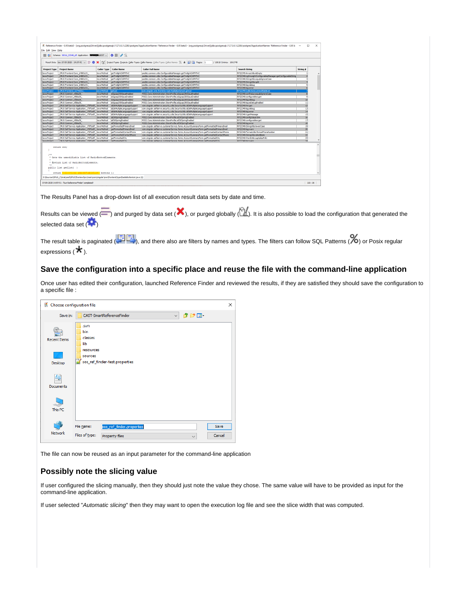| Result Sets: lun. 07 09 2020 - 14:57:42 v = 章 X   엔   Broject Types Brojects Caler Types Caller Names Collec Types Caller Names Collect Types Caller Names % *   口   Pages: 1<br>/ 10618 Entries: 1061748<br><b>Caller Name</b><br><b>Caller Full Name</b><br><b>Search String</b><br><b>Project Type</b><br><b>Project Name</b><br><b>Caller Type</b><br>looslite.common.utils.ConfigurablesManager.getTwilightCAPMTnC<br>OPUS Frontend Core d4881c51<br>oetTwilghtCAPMTnC<br>RP22349:ArravUtils:isEmpty<br><b>Java Protect</b><br>Java Method<br>RP22349:LightweightConfigurablesManager:getConfigurableString<br><b>Java Protect</b><br>OPUS Frontend Core d4881c51<br>oetTwilchtCAPMTnC<br>posite.common.utils.ConfigurablesManager.getTwilghtCAPMTnC<br>Java Method<br>posite.common.utils.ConfigurablesManager.getTwilightCAPMTnC<br>RP22349:StringUtils:equalsIgnoreCase<br><b>Java Project</b><br>OPUS Frontend Core d4881c51<br>Java Method<br>getTwilightCAPMTnC<br>_OPUS Frontend Core_d4881c51_<br>oetTwilightCAPMTnC<br>posite.common.utils.ConfigurablesManager.getTwilightCAPMTnC<br>RP22349:StringUtils:split<br><b>Java Project</b><br>Java Method<br>posite.common.utis.ConfigurablesManager.getTwilghtCAPMTnC<br><b>Java Protect</b><br>OPUS Frontend Core d4881c51<br>oetTwilghtCAPMTnC<br>RP22349:log:debug<br>Java Method<br>OPUS Frontend Core d4881c51<br>posite.common.utils.ConfigurablesManager.getTwilightCAPMTnC<br>RP22349:log:error<br><b>Java Project</b><br>Java Method<br>getTwilightCAPMTnC<br>OPUS Frontend 32745062<br>com.cingular.one.frontend.type.RadioButtonList.getList<br>RP22349:Collections:unmodifiableList<br><b>Java Protect</b><br>Java Method<br><b>InetList</b><br>OPUS Common cfd8a29<br>POS2.Core.Administration.StoreProfile.isSigcap250OpusEnabled<br>RP22349:confValue:equalsIgnoreCase<br><b>Java Protect</b><br>Java Method<br>isSigcap250OpusEnabled<br><b>Java Project</b><br>OPUS Common cfd8a29<br>isSiocao2500ousEnabled<br>POS2.Core.Administration.StoreProfile.isSigcap250OpusEnabled<br>RP22349:configurables:get<br>Java Method<br><b>Java Project</b><br>OPUS Common cfd8a29<br>isSigcap250OpusEnabled<br>POS2.Core.Administration.StoreProfile.isSigcap250OpusEnabled<br>RP22349:log:debug<br>Java Method<br>POS2.Core.Administration.StoreProfile.isSigcap250OpusEnabled<br>RP22349:log:isDebugEnabled<br><b>Java Protect</b><br>OPUS Common cfd8a29<br>Java Method<br>isSiocap250OpusEnabled<br>OPUS Self Service Application_179f1e8f Java Method<br>isEskMultipleLanguageSupport<br>com.cingular.selfserve.security.utls.SecurityUtls.kEskMultipleLanguageSupport<br>RP22349:hm:get<br><b>Java Protect</b><br>OPUS Self Service Application 179f1e8f Java Method<br>com.cingular.selfserve.security.utils.SecurityUtils.isEskMultipleLanguageSupport<br><b>Java Project</b><br>isEskMultipleLanguageSupport<br>RP22349:log:debug<br>OPUS Self Service Application 179f1e8f Java Method<br>isEskMultipleLanguageSupport<br>com.cingular.selfserve.security.utls.SecurityUtls.isEskMultipleLanguageSupport<br><b>Java Protect</b><br>RP22349:log:error | String #<br>q<br>10<br>$\overline{11}$<br>12<br>13 |
|---------------------------------------------------------------------------------------------------------------------------------------------------------------------------------------------------------------------------------------------------------------------------------------------------------------------------------------------------------------------------------------------------------------------------------------------------------------------------------------------------------------------------------------------------------------------------------------------------------------------------------------------------------------------------------------------------------------------------------------------------------------------------------------------------------------------------------------------------------------------------------------------------------------------------------------------------------------------------------------------------------------------------------------------------------------------------------------------------------------------------------------------------------------------------------------------------------------------------------------------------------------------------------------------------------------------------------------------------------------------------------------------------------------------------------------------------------------------------------------------------------------------------------------------------------------------------------------------------------------------------------------------------------------------------------------------------------------------------------------------------------------------------------------------------------------------------------------------------------------------------------------------------------------------------------------------------------------------------------------------------------------------------------------------------------------------------------------------------------------------------------------------------------------------------------------------------------------------------------------------------------------------------------------------------------------------------------------------------------------------------------------------------------------------------------------------------------------------------------------------------------------------------------------------------------------------------------------------------------------------------------------------------------------------------------------------------------------------------------------------------------------------------------------------------------------------------------------------------------------------------------------------------------------------------------------------------------------------------------------------------------------------------------------------------------------------------------------------------------------------------------|----------------------------------------------------|
|                                                                                                                                                                                                                                                                                                                                                                                                                                                                                                                                                                                                                                                                                                                                                                                                                                                                                                                                                                                                                                                                                                                                                                                                                                                                                                                                                                                                                                                                                                                                                                                                                                                                                                                                                                                                                                                                                                                                                                                                                                                                                                                                                                                                                                                                                                                                                                                                                                                                                                                                                                                                                                                                                                                                                                                                                                                                                                                                                                                                                                                                                                                                 |                                                    |
|                                                                                                                                                                                                                                                                                                                                                                                                                                                                                                                                                                                                                                                                                                                                                                                                                                                                                                                                                                                                                                                                                                                                                                                                                                                                                                                                                                                                                                                                                                                                                                                                                                                                                                                                                                                                                                                                                                                                                                                                                                                                                                                                                                                                                                                                                                                                                                                                                                                                                                                                                                                                                                                                                                                                                                                                                                                                                                                                                                                                                                                                                                                                 |                                                    |
|                                                                                                                                                                                                                                                                                                                                                                                                                                                                                                                                                                                                                                                                                                                                                                                                                                                                                                                                                                                                                                                                                                                                                                                                                                                                                                                                                                                                                                                                                                                                                                                                                                                                                                                                                                                                                                                                                                                                                                                                                                                                                                                                                                                                                                                                                                                                                                                                                                                                                                                                                                                                                                                                                                                                                                                                                                                                                                                                                                                                                                                                                                                                 |                                                    |
|                                                                                                                                                                                                                                                                                                                                                                                                                                                                                                                                                                                                                                                                                                                                                                                                                                                                                                                                                                                                                                                                                                                                                                                                                                                                                                                                                                                                                                                                                                                                                                                                                                                                                                                                                                                                                                                                                                                                                                                                                                                                                                                                                                                                                                                                                                                                                                                                                                                                                                                                                                                                                                                                                                                                                                                                                                                                                                                                                                                                                                                                                                                                 |                                                    |
|                                                                                                                                                                                                                                                                                                                                                                                                                                                                                                                                                                                                                                                                                                                                                                                                                                                                                                                                                                                                                                                                                                                                                                                                                                                                                                                                                                                                                                                                                                                                                                                                                                                                                                                                                                                                                                                                                                                                                                                                                                                                                                                                                                                                                                                                                                                                                                                                                                                                                                                                                                                                                                                                                                                                                                                                                                                                                                                                                                                                                                                                                                                                 |                                                    |
|                                                                                                                                                                                                                                                                                                                                                                                                                                                                                                                                                                                                                                                                                                                                                                                                                                                                                                                                                                                                                                                                                                                                                                                                                                                                                                                                                                                                                                                                                                                                                                                                                                                                                                                                                                                                                                                                                                                                                                                                                                                                                                                                                                                                                                                                                                                                                                                                                                                                                                                                                                                                                                                                                                                                                                                                                                                                                                                                                                                                                                                                                                                                 |                                                    |
|                                                                                                                                                                                                                                                                                                                                                                                                                                                                                                                                                                                                                                                                                                                                                                                                                                                                                                                                                                                                                                                                                                                                                                                                                                                                                                                                                                                                                                                                                                                                                                                                                                                                                                                                                                                                                                                                                                                                                                                                                                                                                                                                                                                                                                                                                                                                                                                                                                                                                                                                                                                                                                                                                                                                                                                                                                                                                                                                                                                                                                                                                                                                 |                                                    |
|                                                                                                                                                                                                                                                                                                                                                                                                                                                                                                                                                                                                                                                                                                                                                                                                                                                                                                                                                                                                                                                                                                                                                                                                                                                                                                                                                                                                                                                                                                                                                                                                                                                                                                                                                                                                                                                                                                                                                                                                                                                                                                                                                                                                                                                                                                                                                                                                                                                                                                                                                                                                                                                                                                                                                                                                                                                                                                                                                                                                                                                                                                                                 |                                                    |
|                                                                                                                                                                                                                                                                                                                                                                                                                                                                                                                                                                                                                                                                                                                                                                                                                                                                                                                                                                                                                                                                                                                                                                                                                                                                                                                                                                                                                                                                                                                                                                                                                                                                                                                                                                                                                                                                                                                                                                                                                                                                                                                                                                                                                                                                                                                                                                                                                                                                                                                                                                                                                                                                                                                                                                                                                                                                                                                                                                                                                                                                                                                                 |                                                    |
|                                                                                                                                                                                                                                                                                                                                                                                                                                                                                                                                                                                                                                                                                                                                                                                                                                                                                                                                                                                                                                                                                                                                                                                                                                                                                                                                                                                                                                                                                                                                                                                                                                                                                                                                                                                                                                                                                                                                                                                                                                                                                                                                                                                                                                                                                                                                                                                                                                                                                                                                                                                                                                                                                                                                                                                                                                                                                                                                                                                                                                                                                                                                 |                                                    |
|                                                                                                                                                                                                                                                                                                                                                                                                                                                                                                                                                                                                                                                                                                                                                                                                                                                                                                                                                                                                                                                                                                                                                                                                                                                                                                                                                                                                                                                                                                                                                                                                                                                                                                                                                                                                                                                                                                                                                                                                                                                                                                                                                                                                                                                                                                                                                                                                                                                                                                                                                                                                                                                                                                                                                                                                                                                                                                                                                                                                                                                                                                                                 |                                                    |
|                                                                                                                                                                                                                                                                                                                                                                                                                                                                                                                                                                                                                                                                                                                                                                                                                                                                                                                                                                                                                                                                                                                                                                                                                                                                                                                                                                                                                                                                                                                                                                                                                                                                                                                                                                                                                                                                                                                                                                                                                                                                                                                                                                                                                                                                                                                                                                                                                                                                                                                                                                                                                                                                                                                                                                                                                                                                                                                                                                                                                                                                                                                                 |                                                    |
|                                                                                                                                                                                                                                                                                                                                                                                                                                                                                                                                                                                                                                                                                                                                                                                                                                                                                                                                                                                                                                                                                                                                                                                                                                                                                                                                                                                                                                                                                                                                                                                                                                                                                                                                                                                                                                                                                                                                                                                                                                                                                                                                                                                                                                                                                                                                                                                                                                                                                                                                                                                                                                                                                                                                                                                                                                                                                                                                                                                                                                                                                                                                 |                                                    |
|                                                                                                                                                                                                                                                                                                                                                                                                                                                                                                                                                                                                                                                                                                                                                                                                                                                                                                                                                                                                                                                                                                                                                                                                                                                                                                                                                                                                                                                                                                                                                                                                                                                                                                                                                                                                                                                                                                                                                                                                                                                                                                                                                                                                                                                                                                                                                                                                                                                                                                                                                                                                                                                                                                                                                                                                                                                                                                                                                                                                                                                                                                                                 |                                                    |
|                                                                                                                                                                                                                                                                                                                                                                                                                                                                                                                                                                                                                                                                                                                                                                                                                                                                                                                                                                                                                                                                                                                                                                                                                                                                                                                                                                                                                                                                                                                                                                                                                                                                                                                                                                                                                                                                                                                                                                                                                                                                                                                                                                                                                                                                                                                                                                                                                                                                                                                                                                                                                                                                                                                                                                                                                                                                                                                                                                                                                                                                                                                                 |                                                    |
|                                                                                                                                                                                                                                                                                                                                                                                                                                                                                                                                                                                                                                                                                                                                                                                                                                                                                                                                                                                                                                                                                                                                                                                                                                                                                                                                                                                                                                                                                                                                                                                                                                                                                                                                                                                                                                                                                                                                                                                                                                                                                                                                                                                                                                                                                                                                                                                                                                                                                                                                                                                                                                                                                                                                                                                                                                                                                                                                                                                                                                                                                                                                 | 14                                                 |
| <b>Java Protect</b><br>OPUS Self Service Application 179f1e8f Java Method<br>IsEskMultipleLanguageSupport<br>com.cingular.selfserve.security.utls.SecurityUtls.isEskMultipleLanguageSupport<br>RP22349:t:getMessage                                                                                                                                                                                                                                                                                                                                                                                                                                                                                                                                                                                                                                                                                                                                                                                                                                                                                                                                                                                                                                                                                                                                                                                                                                                                                                                                                                                                                                                                                                                                                                                                                                                                                                                                                                                                                                                                                                                                                                                                                                                                                                                                                                                                                                                                                                                                                                                                                                                                                                                                                                                                                                                                                                                                                                                                                                                                                                             | 15                                                 |
| OPUS Common cfd8a29<br>POS2.Core.Administration.StoreProfile.isESKSpringEnabled<br>RP22349:configValue:trim<br><b>Java Project</b><br>Java Method<br>isESKSpringEnabled                                                                                                                                                                                                                                                                                                                                                                                                                                                                                                                                                                                                                                                                                                                                                                                                                                                                                                                                                                                                                                                                                                                                                                                                                                                                                                                                                                                                                                                                                                                                                                                                                                                                                                                                                                                                                                                                                                                                                                                                                                                                                                                                                                                                                                                                                                                                                                                                                                                                                                                                                                                                                                                                                                                                                                                                                                                                                                                                                         | 16                                                 |
|                                                                                                                                                                                                                                                                                                                                                                                                                                                                                                                                                                                                                                                                                                                                                                                                                                                                                                                                                                                                                                                                                                                                                                                                                                                                                                                                                                                                                                                                                                                                                                                                                                                                                                                                                                                                                                                                                                                                                                                                                                                                                                                                                                                                                                                                                                                                                                                                                                                                                                                                                                                                                                                                                                                                                                                                                                                                                                                                                                                                                                                                                                                                 | 17                                                 |
|                                                                                                                                                                                                                                                                                                                                                                                                                                                                                                                                                                                                                                                                                                                                                                                                                                                                                                                                                                                                                                                                                                                                                                                                                                                                                                                                                                                                                                                                                                                                                                                                                                                                                                                                                                                                                                                                                                                                                                                                                                                                                                                                                                                                                                                                                                                                                                                                                                                                                                                                                                                                                                                                                                                                                                                                                                                                                                                                                                                                                                                                                                                                 | 18                                                 |
|                                                                                                                                                                                                                                                                                                                                                                                                                                                                                                                                                                                                                                                                                                                                                                                                                                                                                                                                                                                                                                                                                                                                                                                                                                                                                                                                                                                                                                                                                                                                                                                                                                                                                                                                                                                                                                                                                                                                                                                                                                                                                                                                                                                                                                                                                                                                                                                                                                                                                                                                                                                                                                                                                                                                                                                                                                                                                                                                                                                                                                                                                                                                 | 19                                                 |
|                                                                                                                                                                                                                                                                                                                                                                                                                                                                                                                                                                                                                                                                                                                                                                                                                                                                                                                                                                                                                                                                                                                                                                                                                                                                                                                                                                                                                                                                                                                                                                                                                                                                                                                                                                                                                                                                                                                                                                                                                                                                                                                                                                                                                                                                                                                                                                                                                                                                                                                                                                                                                                                                                                                                                                                                                                                                                                                                                                                                                                                                                                                                 | $\infty$                                           |
|                                                                                                                                                                                                                                                                                                                                                                                                                                                                                                                                                                                                                                                                                                                                                                                                                                                                                                                                                                                                                                                                                                                                                                                                                                                                                                                                                                                                                                                                                                                                                                                                                                                                                                                                                                                                                                                                                                                                                                                                                                                                                                                                                                                                                                                                                                                                                                                                                                                                                                                                                                                                                                                                                                                                                                                                                                                                                                                                                                                                                                                                                                                                 | 21                                                 |
|                                                                                                                                                                                                                                                                                                                                                                                                                                                                                                                                                                                                                                                                                                                                                                                                                                                                                                                                                                                                                                                                                                                                                                                                                                                                                                                                                                                                                                                                                                                                                                                                                                                                                                                                                                                                                                                                                                                                                                                                                                                                                                                                                                                                                                                                                                                                                                                                                                                                                                                                                                                                                                                                                                                                                                                                                                                                                                                                                                                                                                                                                                                                 | 22                                                 |
|                                                                                                                                                                                                                                                                                                                                                                                                                                                                                                                                                                                                                                                                                                                                                                                                                                                                                                                                                                                                                                                                                                                                                                                                                                                                                                                                                                                                                                                                                                                                                                                                                                                                                                                                                                                                                                                                                                                                                                                                                                                                                                                                                                                                                                                                                                                                                                                                                                                                                                                                                                                                                                                                                                                                                                                                                                                                                                                                                                                                                                                                                                                                 |                                                    |
|                                                                                                                                                                                                                                                                                                                                                                                                                                                                                                                                                                                                                                                                                                                                                                                                                                                                                                                                                                                                                                                                                                                                                                                                                                                                                                                                                                                                                                                                                                                                                                                                                                                                                                                                                                                                                                                                                                                                                                                                                                                                                                                                                                                                                                                                                                                                                                                                                                                                                                                                                                                                                                                                                                                                                                                                                                                                                                                                                                                                                                                                                                                                 | $\overline{23}$                                    |
| OPUS Common cfd8a29<br>isESKSoringEnabled<br>POS2.Core.Administration.StoreProfile.isESKSpringEnabled<br>RP22349:configurables:get<br><b>Java Project</b><br>Java Method<br>POS2.Core.Administration.StoreProfile.isESKSpringEnabled<br><b>Java Protect</b><br>OPUS Common cfd8a29<br>Java Method<br><b>IsESKSoringEnabled</b><br>RP22349:log:error<br>OPUS Self Service Application 179f1e8f Java Method<br>com.cingular.selfserve.customerService.forms.AccountSummaryForm.getFormattedPrimaryEmail<br><b>Java Project</b><br>getFormattedPrimaryEmail<br>RP22349:StringUtils:lowerCase<br><b>Java Project</b><br>OPUS Self Service Application 179f1e8f Java Method<br>getFormattedPrimaryEmail<br>com.cingular.selfserve.customerService.forms.AccountSummaryForm.getFormattedPrimaryEmail<br>RP22349:log:warn<br>com.cingular.selfserve.customerService.forms.AccountSummaryForm.getFormattedContactPhone<br><b>Java Project</b><br>OPUS Self Service Application 179f1e8f Java Method<br>oet <sup>p</sup> ormattedContactPhone<br>RP22349:FormatUtils:formatPhoneNumber<br>OPUS Self Service Application 179f1e8f Java Method<br>oetFormattedContactPhone<br>com.cingular.selfserve.customerService.forms.AccountSummaryForm.getFormattedContactPhone<br>RP22349:StringUtils:isNotBlank<br><b>Java Project</b><br><b>Java Project</b><br>OPUS Self Service Application 179f1e8f Java Method<br>oetFormattedCity<br>com.cingular.selfserve.customerService.forms.AccountSummaryForm.getFormattedCity<br>RP22349:WordUtils:capitalizeFully<br><b>Jacon Protect</b><br>CRUS Self Service Anglication 179f1e8f Jawa Method petformattedCity<br>com cinquiar selfsecue customerService forms AccountSummaryForm getFormattedCity<br>RP22349-Incomern                                                                                                                                                                                                                                                                                                                                                                                                                                                                                                                                                                                                                                                                                                                                                                                                                                                                                                                                                                                                                                                                                                                                                                                                                                                                                                                                                                           |                                                    |

The Results Panel has a drop-down list of all execution result data sets by date and time.

Results can be viewed  $\left(\frac{1}{2}\right)$  and purged by data set ( $\blacktriangleright$ ), or purged globally  $\left(\frac{1}{2}\right)$ . It is also possible to load the configuration that generated the selected data set  $(\blacksquare)$ 

The result table is paginated ( $\left\lfloor \frac{1}{2} \right\rfloor$ , and there also are filters by names and types. The filters can follow SQL Patterns ( $\%$ ) or Posix regular expressions ( $\bigstar$ ).

# **Save the configuration into a specific place and reuse the file with the command-line application**

Once user has edited their configuration, launched Reference Finder and reviewed the results, if they are satisfied they should save the configuration to a specific file :



The file can now be reused as an input parameter for the command-line application

# **Possibly note the slicing value**

If user configured the slicing manually, then they should just note the value they chose. The same value will have to be provided as input for the command-line application.

If user selected "Automatic slicing" then they may want to open the execution log file and see the slice width that was computed.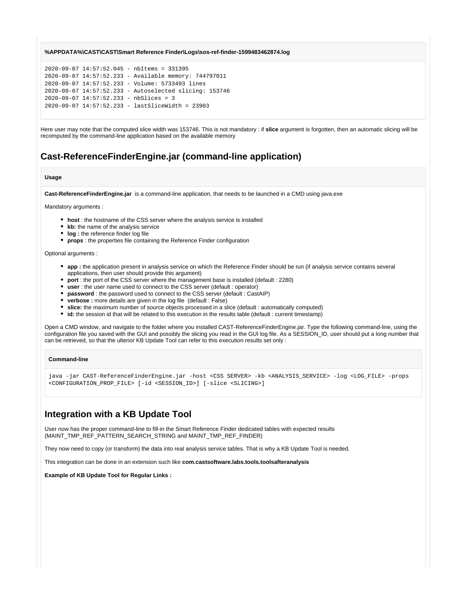#### **%APPDATA%\CAST\CAST\Smart Reference Finder\Logs\sos-ref-finder-1599483462874.log**

```
2020-09-07 14:57:52.045 - nbItems = 331395
2020-09-07 14:57:52.233 - Available memory: 744797011
2020-09-07 14:57:52.233 - Volume: 5733493 lines
2020-09-07 14:57:52.233 - Autoselected slicing: 153746
2020-09-07 14:57:52.233 - nbSlices = 3
2020-09-07 14:57:52.233 - lastSliceWidth = 23903
```
Here user may note that the computed slice width was 153746. This is not mandatory : if **slice** argument is forgotten, then an automatic slicing will be recomputed by the command-line application based on the available memory

# **Cast-ReferenceFinderEngine.jar (command-line application)**

### **Usage**

**Cast-ReferenceFinderEngine.jar** is a command-line application, that needs to be launched in a CMD using java.exe

Mandatory arguments :

- **host** : the hostname of the CSS server where the analysis service is installed
- **kb:** the name of the analysis service
- **log :** the reference finder log file
- **props** : the properties file containing the Reference Finder configuration

Optional arguments :

- **app :** the application present in analysis service on which the Reference Finder should be run (if analysis service contains several applications, then user should provide this argument)
- **port** : the port of the CSS server where the management base is installed (default : 2280)
- **user** : the user name used to connect to the CSS server (default : operator)
- **password** : the password used to connect to the CSS server (default : CastAIP)
- **verbose :** more details are given in the log file (default : False)
- **slice:** the maximum number of source objects processed in a slice (default : automatically computed)
- **id:** the session id that will be related to this execution in the results table (default : current timestamp)

Open a CMD window, and navigate to the folder where you installed CAST-ReferenceFinderEngine.jar. Type the following command-line, using the configuration file you saved with the GUI and possibly the slicing you read in the GUI log file. As a SESSION\_ID, user should put a long number that can be retrieved, so that the ulterior KB Update Tool can refer to this execution results set only :

#### **Command-line**

java -jar CAST-ReferenceFinderEngine.jar -host <CSS SERVER> -kb <ANALYSIS\_SERVICE> -log <LOG\_FILE> -props <CONFIGURATION\_PROP\_FILE> [-id <SESSION\_ID>] [-slice <SLICING>]

# **Integration with a KB Update Tool**

User now has the proper command-line to fill-in the Smart Reference Finder dedicated tables with expected results (MAINT\_TMP\_REF\_PATTERN\_SEARCH\_STRING and MAINT\_TMP\_REF\_FINDER)

They now need to copy (or transform) the data into real analysis service tables. That is why a KB Update Tool is needed.

This integration can be done in an extension such like **com.castsoftware.labs.tools.toolsafteranalysis**

**Example of KB Update Tool for Regular Links :**